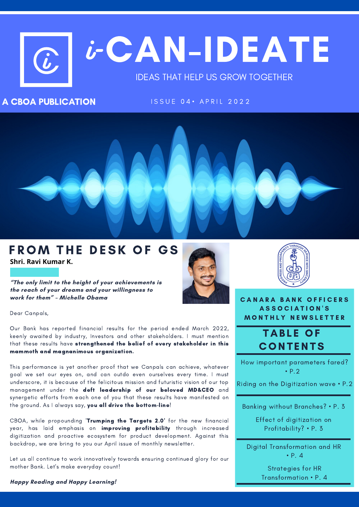# C CAN-IDEATE  $\bm{\dot{b}}^$ i

### IDEAS THAT HELP US GROW TOGETHER

### A CBOA PUBLICATION

I S S U E 0 4 · A P R I L 2 0 2 2



### FROM THE DESK OF GS **Shri. Ravi Kumar K.**

**"The only limit to the height of your achievements is the reach of your dreams and your willingness to work for them" – Michelle Obama**





**CANARA BANK OFFICERS** A S S O C I A T I O N ' S **MONTHLY NEWSLETTER** 

### **TABLE OF CONTENTS**

How important parameters fared? • P.2

Riding on the Digitization wave • P.2

Banking without Branches? • P. 3

Effect of digitization on Profitability? • P. 3

Digital Transformation and HR • P. 4

> Strategies for HR Transformation • P. 4

# Dear Canpals,

Our Bank has reported financial results for the period ended March 2022, keenly awaited by industry, Investors and other stakeholders. I must mention that these results have strengthened the belief of every stakeholder in this mammoth and magnanimous organization.

This performance is yet another proof that we Canpals can achieve, whatever goal we set our eyes on, and can outdo even ourselves every time. I must underscore, it is because of the felicitous mission and futuristic vision of our top management under the deft leadership of our beloved MD&CEO and synergetic efforts from each one of you that these results have manifested on the ground. As I always say, you all drive the bottom-line!

CBOA, while propounding 'Trumping the Targets 2.0' for the new financial year, has laid emphasis on improving profitability through increased digitization and proactive ecosystem for product development. Against this backdrop, we are bring to you our April issue of monthly newsletter.

Let us all continue to work innovatively towards ensuring continued glory for our mother Bank. Let's make everyday count!

**Happy Reading and Happy Learning!**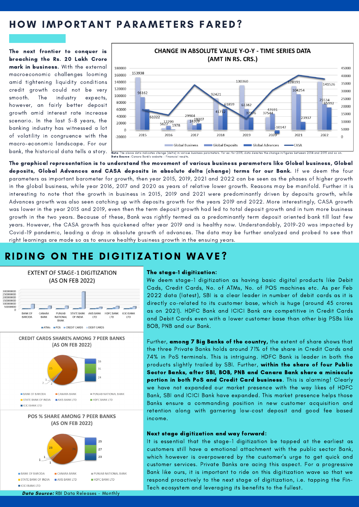### HOW IMPORTANT PARAMETERS FARED?

The next frontier to conquer is breaching the Rs. 20 Lakh Crore mark in business. With the external macroeconomic challenges looming amid tightening liquidity conditions credit growth could not be very smooth. The industry expects, however, an fairly better deposit growth amid interest rate increase scenario. In the last 5-8 years, the banking industry has witnessed a lot of volatility in congruence with the macro-economic landscape. For our bank, the historical data tells a story.



The graphical representation is to understand the movement of various business parameters like Global business, Global deposits, Global Advances and CASA deposits in absolute delta (change) terms for our Bank. If we deem the four parameters as important barometer for growth, then year 2015, 2019, 2021 and 2022 can be seen as the phases of higher growth in the global business, while year 2016, 2017 and 2020 as years of relative lower growth. Reasons may be manifold. Further it is interesting to note that the growth in business in 2015, 2019 and 2021 were predominantly driven by deposits growth, while Advances growth was also seen catching up with deposits growth for the years 2019 and 2022. More interestingly, CASA growth was lower in the year 2015 and 2019, even then the term deposit growth had led to total deposit growth and in turn more business growth in the two years. Because of these, Bank was rightly termed as a predominantly term deposit oriented bank till last few years. However, the CASA growth has quickened after year 2019 and is healthy now. Understandably, 2019-20 was impacted by Covid-19 pandemic, leading a drop in absolute growth of advances. The data may be further analyzed and probed to see that right learnings are made so as to ensure healthy business growth in the ensuing years.

### RIDING ON THE DIGITIZATION WAVE?



#### The stage-1 digitization:

We deem stage-1 digitization as having basic digital products like Debit Cads, Credit Cards, No. of ATMs, No. of POS machines etc. As per Feb 2022 data (latest), SBI is a clear leader in number of debit cards as it is directly co-related to its customer base, which is huge (around 45 crores as on 2021). HDFC Bank and ICICI Bank are competitive in Credit Cards and Debit Cards even with a lower customer base than other big PSBs like BOB, PNB and our Bank.

Further, among 7 Big Banks of the country, the extent of share shows that the three Private Banks holds around 71% of the share in Credit Cards and 74% in PoS terminals. This is intriguing. HDFC Bank is leader in both the products slightly trailed by SBI. Further, within the share of four Public Sector Banks, after SBI, BOB, PNB and Canara Bank share a miniscule portion in both PoS and Credit Card business. This is alarming! Clearly we have not expanded our market presence with the way likes of HDFC Bank, SBI and ICICI Bank have expanded. This market presence helps those Banks ensure a commanding position in new customer acquisition and retention along with garnering low-cost deposit and good fee based income.

#### Next stage digitization and way forward:

It is essential that the stage-1 digitization be tapped at the earliest as customers still have a emotional attachment with the public sector Bank, which however is overpowered by the customer's urge to get quick and customer services. Private Banks are acing this aspect. For a progressive Bank like ours, it is important to ride on this digitization wave so that we respond proactively to the next stage of digitization, i.e. tapping the Fin-Tech ecosystem and leveraging its benefits to the fullest.

**EICICI BANK LTD**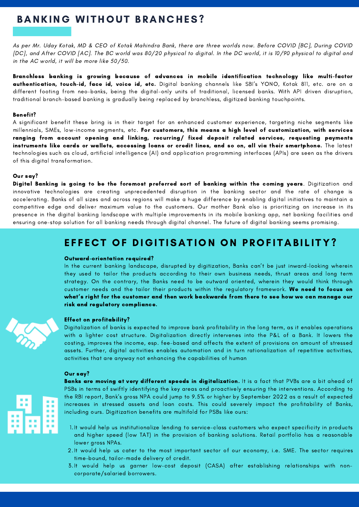# **BANKING WITHOUT BRANCHES?**

As per Mr. Uday Kotak, MD & CEO of Kotak Mahindra Bank, there are three worlds now. Before COVID [BC], During COVID [DC], and After COVID [AC]. The BC world was 80/20 physical to digital. In the DC world, it is 10/90 physical to digital and in the AC world, it will be more like 50/50.

Branchless banking is growing because of advances in mobile identification technology like multi-factor authentication, touch-id, face id, voice id, etc. Digital banking channels like SBI's YONO, Kotak 811, etc. are on a different footing from neo-banks, being the digital-only units of traditional, licensed banks. With API driven disruption, traditional branch-based banking is gradually being replaced by branchless, digitized banking touchpoints.

#### Benefit?

A significant benefit these bring is in their target for an enhanced customer experience, targeting niche segments like millennials, SMEs, low-income segments, etc. For customers, this means a high level of customization, with services ranging from account opening and linking, recurring/ fixed deposit related services, requesting payments instruments like cards or wallets, accessing loans or credit lines, and so on, all via their smartphone. The latest technologies such as cloud, artificial intelligence (AI) and application programming interfaces (APIs) are seen as the drivers of this digital transformation.

#### Our say?

Digital Banking is going to be the foremost preferred sort of banking within the coming years. Digitization and innovative technologies are creating unprecedented disruption in the banking sector and the rate of change is accelerating. Banks of all sizes and across regions will make a huge difference by enabling digital initiatives to maintain a competitive edge and deliver maximum value to the customers. Our mother Bank also is prioritizing an increase in its presence in the digital banking landscape with multiple improvements in its mobile banking app, net banking facilities and ensuring one-stop solution for all banking needs through digital channel. The future of digital banking seems promising.

### EFFECT OF DIGITISATION ON PROFITABILITY?

#### Outward-orientation required?

In the current banking landscape, disrupted by digitization, Banks can't be just inward-looking wherein they used to tailor the products according to their own business needs, thrust areas and long term strategy. On the contrary, the Banks need to be outward oriented, wherein they would think through customer needs and the tailor their products within the regulatory framework. We need to focus on what's right for the customer and then work backwards from there to see how we can manage our risk and regulatory compliance.



#### Effect on profitability?

Digitalization of banks is expected to improve bank profitability in the long term, as it enables operations with a lighter cost structure. Digitalization directly intervenes into the P&L of a Bank. It lowers the costing, improves the income, esp. fee-based and affects the extent of provisions on amount of stressed assets. Further, digital activities enables automation and in turn rationalization of repetitive activities, activities that are anyway not enhancing the capabilities of human

#### Our say?



- - 1.It would help us institutionalize lending to service-class customers who expect specificity in products and higher speed (low TAT) in the provision of banking solutions. Retail portfolio has a reasonable lower gross NPAs.
	- 2.It would help us cater to the most important sector of our economy, i.e. SME. The sector requires time-bound, tailor-made delivery of credit.
	- It would help us garner low-cost deposit (CASA) after establishing relationships with non-3. corporate/salaried borrowers.